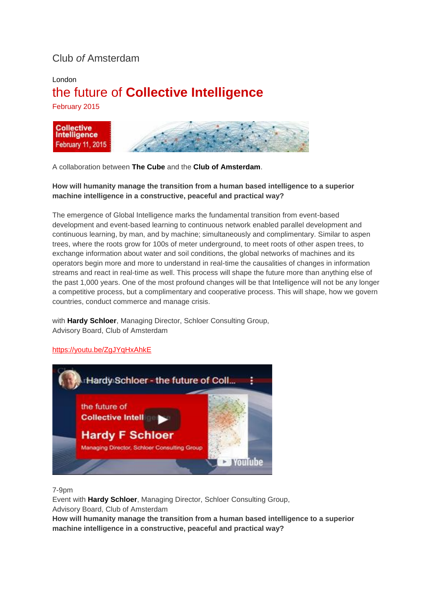# Club *of* Amsterdam

## London the future of **Collective Intelligence**

February 2015



A collaboration between **The Cube** and the **Club of Amsterdam**.

### **How will humanity manage the transition from a human based intelligence to a superior machine intelligence in a constructive, peaceful and practical way?**

The emergence of Global Intelligence marks the fundamental transition from event-based development and event-based learning to continuous network enabled parallel development and continuous learning, by man, and by machine; simultaneously and complimentary. Similar to aspen trees, where the roots grow for 100s of meter underground, to meet roots of other aspen trees, to exchange information about water and soil conditions, the global networks of machines and its operators begin more and more to understand in real-time the causalities of changes in information streams and react in real-time as well. This process will shape the future more than anything else of the past 1,000 years. One of the most profound changes will be that Intelligence will not be any longer a competitive process, but a complimentary and cooperative process. This will shape, how we govern countries, conduct commerce and manage crisis.

with **Hardy Schloer**, Managing Director, Schloer Consulting Group, Advisory Board, Club of Amsterdam

#### <https://youtu.be/ZgJYqHxAhkE>



7-9pm

Event with **Hardy Schloer**, Managing Director, Schloer Consulting Group, Advisory Board, Club of Amsterdam

**How will humanity manage the transition from a human based intelligence to a superior machine intelligence in a constructive, peaceful and practical way?**